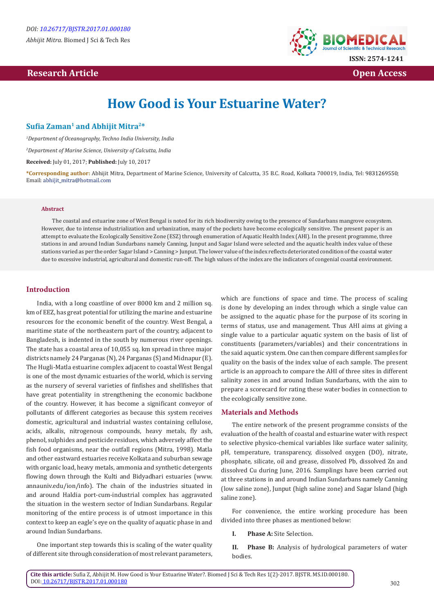# **Research Article Open Access**



# **How Good is Your Estuarine Water?**

## **Sufia Zaman1 and Abhijit Mitra2\***

*1 Department of Oceanography, Techno India University, India*

*2 Department of Marine Science, University of Calcutta, India*

**Received:** July 01, 2017; **Published:** July 10, 2017

**\*Corresponding author:** Abhijit Mitra, Department of Marine Science, University of Calcutta, 35 B.C. Road, Kolkata 700019, India, Tel: ; Email: abhijit\_mitra@hotmail.com

#### **Abstract**

The coastal and estuarine zone of West Bengal is noted for its rich biodiversity owing to the presence of Sundarbans mangrove ecosystem. However, due to intense industrialization and urbanization, many of the pockets have become ecologically sensitive. The present paper is an attempt to evaluate the Ecologically Sensitive Zone (ESZ) through enumeration of Aquatic Health Index (AHI). In the present programme, three stations in and around Indian Sundarbans namely Canning, Junput and Sagar Island were selected and the aquatic health index value of these stations varied as per the order Sagar Island > Canning > Junput. The lower value of the index reflects deteriorated condition of the coastal water due to excessive industrial, agricultural and domestic run-off. The high values of the index are the indicators of congenial coastal environment.

### **Introduction**

India, with a long coastline of over 8000 km and 2 million sq. km of EEZ, has great potential for utilizing the marine and estuarine resources for the economic benefit of the country. West Bengal, a maritime state of the northeastern part of the country, adjacent to Bangladesh, is indented in the south by numerous river openings. The state has a coastal area of 10,055 sq. km spread in three major districts namely 24 Parganas (N), 24 Parganas (S) and Midnapur (E). The Hugli-Matla estuarine complex adjacent to coastal West Bengal is one of the most dynamic estuaries of the world, which is serving as the nursery of several varieties of finfishes and shellfishes that have great potentiality in strengthening the economic backbone of the country. However, it has become a significant conveyor of pollutants of different categories as because this system receives domestic, agricultural and industrial wastes containing cellulose, acids, alkalis, nitrogenous compounds, heavy metals, fly ash, phenol, sulphides and pesticide residues, which adversely affect the fish food organisms, near the outfall regions (Mitra, 1998). Matla and other eastward estuaries receive Kolkata and suburban sewage with organic load, heavy metals, ammonia and synthetic detergents flowing down through the Kulti and Bidyadhari estuaries (www. annauniv.edu/ion/info). The chain of the industries situated in and around Haldia port-cum-industrial complex has aggravated the situation in the western sector of Indian Sundarbans. Regular monitoring of the entire process is of utmost importance in this context to keep an eagle's eye on the quality of aquatic phase in and around Indian Sundarbans.

One important step towards this is scaling of the water quality of different site through consideration of most relevant parameters,

which are functions of space and time. The process of scaling is done by developing an index through which a single value can be assigned to the aquatic phase for the purpose of its scoring in terms of status, use and management. Thus AHI aims at giving a single value to a particular aquatic system on the basis of list of constituents (parameters/variables) and their concentrations in the said aquatic system. One can then compare different samples for quality on the basis of the index value of each sample. The present article is an approach to compare the AHI of three sites in different salinity zones in and around Indian Sundarbans, with the aim to prepare a scorecard for rating these water bodies in connection to the ecologically sensitive zone.

## **Materials and Methods**

The entire network of the present programme consists of the evaluation of the health of coastal and estuarine water with respect to selective physico-chemical variables like surface water salinity, pH, temperature, transparency, dissolved oxygen (DO), nitrate, phosphate, silicate, oil and grease, dissolved Pb, dissolved Zn and dissolved Cu during June, 2016. Samplings have been carried out at three stations in and around Indian Sundarbans namely Canning (low saline zone), Junput (high saline zone) and Sagar Island (high saline zone).

For convenience, the entire working procedure has been divided into three phases as mentioned below:

**I. Phase A:** Site Selection.

**II. Phase B:** Analysis of hydrological parameters of water bodies.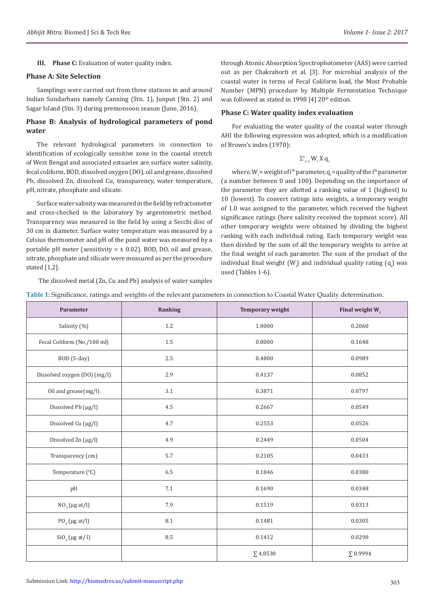**III. Phase C:** Evaluation of water quality index.

## **Phase A: Site Selection**

Samplings were carried out from three stations in and around Indian Sundarbans namely Canning (Stn. 1), Junput (Stn. 2) and Sagar Island (Stn. 3) during premonsoon season (June, 2016).

## **Phase B: Analysis of hydrological parameters of pond water**

The relevant hydrological parameters in connection to identification of ecologically sensitive zone in the coastal stretch of West Bengal and associated estuaries are surface water salinity, fecal coliform, BOD, dissolved oxygen (DO), oil and grease, dissolved Pb, dissolved Zn, dissolved Cu, transparency, water temperature, pH, nitrate, phosphate and silicate.

Surface water salinity was measured in the field by refractometer and cross-checked in the laboratory by argentometric method. Transparency was measured in the field by using a Secchi disc of 30 cm in diameter. Surface water temperature was measured by a Celsius thermometer and pH of the pond water was measured by a portable pH meter (sensitivity  $= \pm 0.02$ ). BOD, DO, oil and grease, nitrate, phosphate and silicate were measured as per the procedure stated [1,2].

The dissolved metal (Zn, Cu and Pb) analysis of water samples

through Atomic Absorption Spectrophotometer (AAS) were carried out as per Chakraborti et al. [3]. For microbial analysis of the coastal water in terms of Fecal Coliform load, the Most Probable Number (MPN) procedure by Multiple Fermentation Technique was followed as stated in 1998 [4] 20<sup>th</sup> edition.

#### **Phase C: Water quality index evaluation**

For evaluating the water quality of the coastal water through AHI the following expression was adopted, which is a modification of Brown's index (1970):

# $\sum_{i=1}^s W_i X q_i$

where,  $W_i$  = weight of i<sup>th</sup> parameter,  $q_i$  = quality of the i<sup>th</sup> parameter (a number between 0 and 100). Depending on the importance of the parameter they are allotted a ranking value of 1 (highest) to 10 (lowest). To convert ratings into weights, a temporary weight of 1.0 was assigned to the parameter, which received the highest significance ratings (here salinity received the topmost score). All other temporary weights were obtained by dividing the highest ranking with each individual rating. Each temporary weight was then divided by the sum of all the temporary weights to arrive at the final weight of each parameter. The sum of the product of the individual final weight (W*<sup>i</sup>* ) and individual quality rating (q*<sup>i</sup>* ) was used (Tables 1-6).

| Table 1: Significance, ratings and weights of the relevant parameters in connection to Coastal Water Quality determination. |  |  |
|-----------------------------------------------------------------------------------------------------------------------------|--|--|
|-----------------------------------------------------------------------------------------------------------------------------|--|--|

| Parameter                    | Ranking | <b>Temporary weight</b> | Final weight $W_i$ |
|------------------------------|---------|-------------------------|--------------------|
| Salinity (%)                 | 1.2     | 1.0000                  | 0.2060             |
| Fecal Coliform (No./100 ml)  | 1.5     | 0.8000                  | 0.1648             |
| BOD (5-day)                  | 2.5     | 0.4800                  | 0.0989             |
| Dissolved oxygen (DO) (mg/l) | 2.9     | 0.4137                  | 0.0852             |
| Oil and grease(mg/l)         | 3.1     | 0.3871                  | 0.0797             |
| Dissolved Pb (µg/l)          | 4.5     | 0.2667                  | 0.0549             |
| Dissolved Cu (µg/l)          | 4.7     | 0.2553                  | 0.0526             |
| Dissolved Zn (µg/l)          | 4.9     | 0.2449                  | 0.0504             |
| Transparency (cm)            | 5.7     | 0.2105                  | 0.0433             |
| Temperature (°C)             | 6.5     | 0.1846                  | 0.0380             |
| pH                           | $7.1\,$ | 0.1690                  | 0.0348             |
| $NO3$ (µg at/l)              | 7.9     | 0.1519                  | 0.0313             |
| $PO_{4}$ (µg at/l)           | 8.1     | 0.1481                  | 0.0305             |
| $SiO3$ (µg at/ l)            | 8.5     | 0.1412                  | 0.0290             |
|                              |         | $\Sigma$ 4.8530         | $\Sigma$ 0.9994    |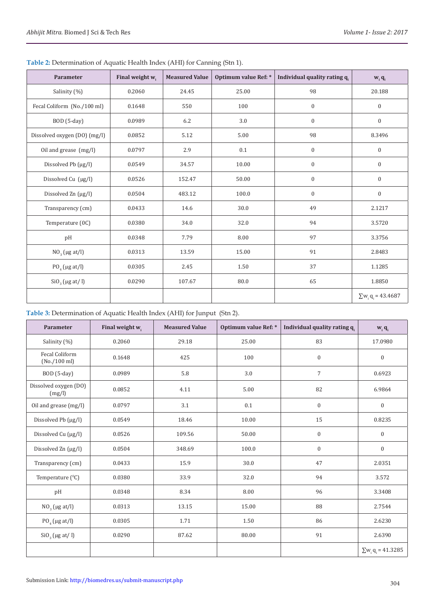| Parameter                    | Final weight w. | <b>Measured Value</b> | Optimum value Ref: * | Individual quality rating q. | $W_i$ $q_i$              |
|------------------------------|-----------------|-----------------------|----------------------|------------------------------|--------------------------|
| Salinity (%)                 | 0.2060          | 24.45                 | 25.00<br>98          |                              | 20.188                   |
| Fecal Coliform (No./100 ml)  | 0.1648          | 550                   | 100                  | $\boldsymbol{0}$             | $\boldsymbol{0}$         |
| BOD (5-day)                  | 0.0989          | 6.2                   | 3.0                  | $\boldsymbol{0}$             | $\boldsymbol{0}$         |
| Dissolved oxygen (DO) (mg/l) | 0.0852          | 5.12                  | 5.00                 | 98                           | 8.3496                   |
| Oil and grease (mg/l)        | 0.0797          | 2.9                   | 0.1                  | $\boldsymbol{0}$             | $\mathbf{0}$             |
| Dissolved Pb $(\mu g/l)$     | 0.0549          | 34.57                 | 10.00                | $\boldsymbol{0}$             | $\boldsymbol{0}$         |
| Dissolved Cu (µg/l)          | 0.0526          | 152.47                | 50.00                | $\boldsymbol{0}$             | $\boldsymbol{0}$         |
| Dissolved Zn (µg/l)          | 0.0504          | 483.12                | 100.0                | $\boldsymbol{0}$             | $\boldsymbol{0}$         |
| Transparency (cm)            | 0.0433          | 14.6                  | 30.0                 | 49                           | 2.1217                   |
| Temperature (0C)             | 0.0380          | 34.0                  | 32.0                 | 94                           | 3.5720                   |
| pH                           | 0.0348          | 7.79                  | 8.00                 | 97                           |                          |
| $NO3$ (µg at/l)              | 0.0313          | 13.59                 | 91<br>15.00          |                              | 2.8483                   |
| $PO_{4}$ (µg at/l)           | 0.0305          | 2.45                  | 1.50                 | 37                           | 1.1285                   |
| $SiO3$ (µg at/ l)            | 0.0290          | 107.67                | 80.0                 | 65                           | 1.8850                   |
|                              |                 |                       |                      |                              | $\sum w_i q_i = 43.4687$ |

**Table 2:** Determination of Aquatic Health Index (AHI) for Canning (Stn 1).

# **Table 3:** Determination of Aquatic Health Index (AHI) for Junput (Stn 2).

| Parameter                             | Final weight $w_i$ | <b>Measured Value</b> | Optimum value Ref: *  | Individual quality rating q. | $W_i$ $q_i$              |
|---------------------------------------|--------------------|-----------------------|-----------------------|------------------------------|--------------------------|
| Salinity (%)                          | 0.2060             | 29.18                 | 25.00                 | 83                           | 17.0980                  |
| <b>Fecal Coliform</b><br>(No./100 ml) | 0.1648             | 425                   | 100                   | $\boldsymbol{0}$             | $\boldsymbol{0}$         |
| BOD (5-day)                           | 0.0989             | 5.8                   | 3.0                   | $\overline{7}$               | 0.6923                   |
| Dissolved oxygen (DO)<br>(mg/l)       | 0.0852             | 4.11                  | 5.00                  | 82                           | 6.9864                   |
| Oil and grease (mg/l)                 | 0.0797             | 3.1                   | 0.1                   | $\mathbf{0}$                 | $\boldsymbol{0}$         |
| Dissolved Pb (µg/l)                   | 0.0549             | 18.46                 | 10.00                 | 15                           | 0.8235                   |
| Dissolved Cu (µg/l)                   | 0.0526             | 109.56                | 50.00<br>$\mathbf{0}$ |                              | $\overline{0}$           |
| Dissolved Zn (µg/l)                   | 0.0504             | 348.69                | 100.0                 | $\boldsymbol{0}$             | $\boldsymbol{0}$         |
| Transparency (cm)                     | 0.0433             | 15.9                  | 30.0                  | 47                           |                          |
| Temperature (°C)                      | 0.0380             | 33.9                  | 32.0                  | 94                           | 3.572                    |
| pH                                    | 0.0348             | 8.34                  | 8.00                  | 96                           |                          |
| $NO3$ (µg at/l)                       | 0.0313             | 13.15                 | 15.00<br>88           |                              | 2.7544                   |
| $PO_4$ (µg at/l)                      | 0.0305             | 1.71                  | 1.50                  | 86                           | 2.6230                   |
| $SiO_3$ (µg at/1)                     | 0.0290             | 87.62                 | 80.00                 | 91                           | 2.6390                   |
|                                       |                    |                       |                       |                              | $\sum w_i q_i = 41.3285$ |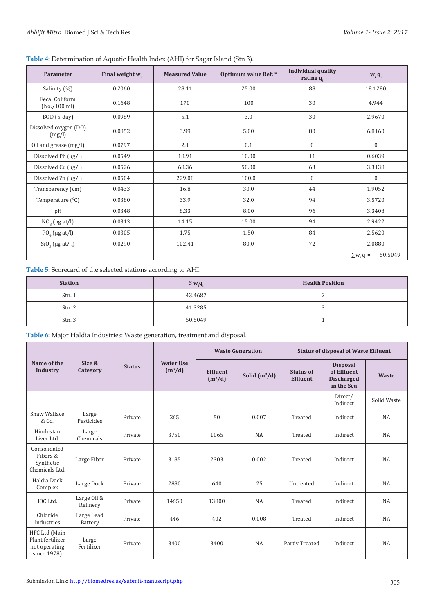| Parameter                       | Final weight w. | <b>Measured Value</b> | Optimum value Ref: * | <b>Individual quality</b><br>rating $q_i$ | $W_i q_i$                   |  |
|---------------------------------|-----------------|-----------------------|----------------------|-------------------------------------------|-----------------------------|--|
| Salinity (%)                    | 0.2060          | 28.11                 | 25.00                | 88                                        | 18.1280                     |  |
| Fecal Coliform<br>(No./100 ml)  | 0.1648          | 170                   | 100                  | 30                                        | 4.944                       |  |
| BOD (5-day)                     | 0.0989          | 5.1                   | 3.0                  | 30                                        | 2.9670                      |  |
| Dissolved oxygen (DO)<br>(mg/l) | 0.0852          | 3.99                  | 5.00                 | 80                                        | 6.8160                      |  |
| Oil and grease (mg/l)           | 0.0797          | 2.1                   | 0.1                  | $\mathbf{0}$                              | $\mathbf{0}$                |  |
| Dissolved Pb $(\mu g/l)$        | 0.0549          | 18.91                 | 10.00                | 11                                        | 0.6039                      |  |
| Dissolved Cu (µg/l)             | 0.0526          | 68.36                 | 50.00                | 63                                        | 3.3138                      |  |
| Dissolved Zn (µg/l)             | 0.0504          | 229.08                | 100.0                | $\boldsymbol{0}$                          | $\boldsymbol{0}$            |  |
| Transparency (cm)               | 0.0433          | 16.8                  | 30.0                 | 44                                        | 1.9052                      |  |
| Temperature $(^{0}C)$           | 0.0380          | 33.9                  | 32.0                 | 94                                        | 3.5720                      |  |
| pH                              | 0.0348          | 8.33                  | 8.00                 | 96                                        | 3.3408                      |  |
| $NO3$ (µg at/l)                 | 0.0313          | 14.15                 | 15.00                | 94                                        | 2.9422                      |  |
| $PO_4$ (µg at/l)                | 0.0305          | 1.75                  | 1.50                 | 84                                        | 2.5620                      |  |
| $SiO3$ (µg at/1)                | 0.0290          | 102.41                | 80.0                 | 72                                        | 2.0880                      |  |
|                                 |                 |                       |                      |                                           | 50.5049<br>$\sum w_i q_i =$ |  |

# **Table 4:** Determination of Aquatic Health Index (AHI) for Sagar Island (Stn 3).

**Table 5:** Scorecard of the selected stations according to AHI.

| <b>Station</b> | $S$ $w_i$ <b>q</b> | <b>Health Position</b> |
|----------------|--------------------|------------------------|
| Stn.1          | 43.4687            | -                      |
| Stn. 2         | 41.3285            |                        |
| Stn. 3         | 50.5049            |                        |

**Table 6:** Major Haldia Industries: Waste generation, treatment and disposal.

|                                                                   |                         |         | <b>Water Use</b><br><b>Status</b><br>$(m^3/d)$ | <b>Waste Generation</b>      |                 | <b>Status of disposal of Waste Effluent</b> |                                                                   |              |
|-------------------------------------------------------------------|-------------------------|---------|------------------------------------------------|------------------------------|-----------------|---------------------------------------------|-------------------------------------------------------------------|--------------|
| Name of the<br>Industry                                           | Size &<br>Category      |         |                                                | <b>Effluent</b><br>$(m^3/d)$ | Solid $(m^3/d)$ | <b>Status of</b><br><b>Effluent</b>         | <b>Disposal</b><br>of Effluent<br><b>Discharged</b><br>in the Sea | <b>Waste</b> |
|                                                                   |                         |         |                                                |                              |                 |                                             | Direct/<br>Indirect                                               | Solid Waste  |
| Shaw Wallace<br>& Co.                                             | Large<br>Pesticides     | Private | 265                                            | 50                           | 0.007           | Treated                                     | Indirect                                                          | NA           |
| Hindustan<br>Liver Ltd.                                           | Large<br>Chemicals      | Private | 3750                                           | 1065                         | NA              | Treated                                     | Indirect                                                          | NA           |
| Consolidated<br>Fibers &<br>Synthetic<br>Chemicals Ltd.           | Large Fiber             | Private | 3185                                           | 2303                         | 0.002           | Treated                                     | Indirect                                                          | <b>NA</b>    |
| Haldia Dock<br>Complex                                            | Large Dock              | Private | 2880                                           | 640                          | 25              | Untreated                                   | Indirect                                                          | NA           |
| IOC Ltd.                                                          | Large Oil &<br>Refinery | Private | 14650                                          | 13800                        | NA              | Treated                                     | Indirect                                                          | NA           |
| Chloride<br>Industries                                            | Large Lead<br>Battery   | Private | 446                                            | 402                          | 0.008           | Treated                                     | Indirect                                                          | NA           |
| HFC Ltd (Main<br>Plant fertilizer<br>not operating<br>since 1978) | Large<br>Fertilizer     | Private | 3400                                           | 3400                         | <b>NA</b>       | Partly Treated                              | Indirect                                                          | NA           |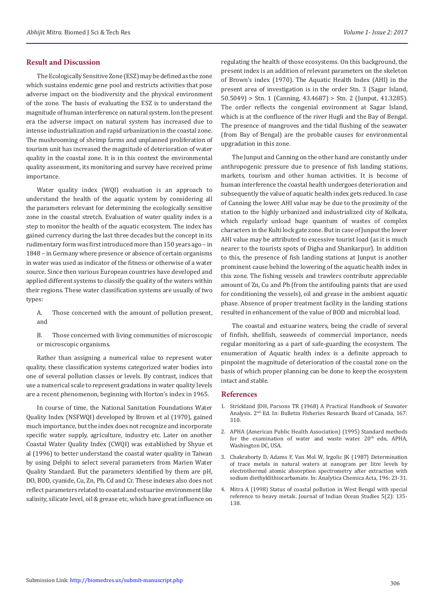## **Result and Discussion**

The Ecologically Sensitive Zone (ESZ) may be defined as the zone which sustains endemic gene pool and restricts activities that pose adverse impact on the biodiversity and the physical environment of the zone. The basis of evaluating the ESZ is to understand the magnitude of human interference on natural system. Ion the present era the adverse impact on natural system has increased due to intense industrialization and rapid urbanization in the coastal zone. The mushrooming of shrimp farms and unplanned proliferation of tourism unit has increased the magnitude of deterioration of water quality in the coastal zone. It is in this context the environmental quality assessment, its monitoring and survey have received prime importance.

Water quality index (WQI) evaluation is an approach to understand the health of the aquatic system by considering all the parameters relevant for determining the ecologically sensitive zone in the coastal stretch. Evaluation of water quality index is a step to monitor the health of the aquatic ecosystem. The index has gained currency during the last three decades but the concept in its rudimentary form was first introduced more than 150 years ago – in 1848 – in Germany where presence or absence of certain organisms in water was used as indicator of the fitness or otherwise of a water source. Since then various European countries have developed and applied different systems to classify the quality of the waters within their regions. These water classification systems are usually of two types:

- A. Those concerned with the amount of pollution present, and
- B. Those concerned with living communities of microscopic or microscopic organisms.

Rather than assigning a numerical value to represent water quality, these classification systems categorized water bodies into one of several pollution classes or levels. By contrast, indices that use a numerical scale to represent gradations in water quality levels are a recent phenomenon, beginning with Horton's index in 1965.

In course of time, the National Sanitation Foundations Water Quality Index (NSFWQI) developed by Brown et al (1970), gained much importance, but the index does not recognize and incorporate specific water supply, agriculture, industry etc. Later on another Coastal Water Quality Index (CWQI) was established by Shyue et al (1996) to better understand the coastal water quality in Taiwan by using Delphi to select several parameters from Marien Water Quality Standard. But the parameters identified by them are pH, DO, BOD, cyanide, Cu, Zn, Pb, Cd and Cr. These indexes also does not reflect parameters related to coastal and estuarine environment like salinity, silicate level, oil & grease etc, which have great influence on

regulating the health of those ecosystems. On this background, the present index is an addition of relevant parameters on the skeleton of Brown's index (1970). The Aquatic Health Index (AHI) in the present area of investigation is in the order Stn. 3 (Sagar Island,  $50.5049$ ) > Stn. 1 (Canning, 43.4687) > Stn. 2 (Junput, 41.3285). The order reflects the congenial environment at Sagar Island, which is at the confluence of the river Hugli and the Bay of Bengal. The presence of mangroves and the tidal flushing of the seawater (from Bay of Bengal) are the probable causes for environmental upgradation in this zone.

The Junput and Canning on the other hand are constantly under anthropogenic pressure due to presence of fish landing stations, markets, tourism and other human activities. It is become of human interference the coastal health undergoes deterioration and subsequently the value of aquatic health index gets reduced. In case of Canning the lower AHI value may be due to the proximity of the station to the highly urbanized and industrialized city of Kolkata, which regularly unload huge quantum of wastes of complex characters in the Kulti lock gate zone. But in case of Junput the lower AHI value may be attributed to excessive tourist load (as it is much nearer to the tourists spots of Digha and Shankarpur). In addition to this, the presence of fish landing stations at Junput is another prominent cause behind the lowering of the aquatic health index in this zone. The fishing vessels and trawlers contribute appreciable amount of Zn, Cu and Pb (from the antifouling paints that are used for conditioning the vessels), oil and grease in the ambient aquatic phase. Absence of proper treatment facility in the landing stations resulted in enhancement of the value of BOD and microbial load.

The coastal and estuarine waters, being the cradle of several of finfish, shellfish, seaweeds of commercial importance, needs regular monitoring as a part of safe-guarding the ecosystem. The enumeration of Aquatic health index is a definite approach to pinpoint the magnitude of deterioration of the coastal zone on the basis of which proper planning can be done to keep the ecosystem intact and stable.

## **References**

- 1. [Strickland JDH, Parsons TR \(1968\) A Practical Handbook of Seawater](https://epic.awi.de/39262/1/Strickland-Parsons_1972.pdf) [Analysis. 2nd Ed. In: Bulletin Fisheries Research Board of Canada](https://epic.awi.de/39262/1/Strickland-Parsons_1972.pdf)*,* 167: [310.](https://epic.awi.de/39262/1/Strickland-Parsons_1972.pdf)
- 2. [APHA \(American Public Health Association\) \(1995\) Standard methods](https://www.standardmethods.org/) for the examination of water and waste water.  $20<sup>th</sup>$  edn, APHA, [Washington DC, USA.](https://www.standardmethods.org/)
- 3. [Chakraborty D, Adams F, Van Mol W, Irgolic JK \(1987\) Determination](http://www.sciencedirect.com/science/article/pii/S0003267000830664/pdf?md5=b00dea80368ad05c80fedd52ae1b9604&pid=1-s2.0-S0003267000830664-main.pdf) [of trace metals in natural waters at nanogram per litre levels by](http://www.sciencedirect.com/science/article/pii/S0003267000830664/pdf?md5=b00dea80368ad05c80fedd52ae1b9604&pid=1-s2.0-S0003267000830664-main.pdf) [electrothermal atomic absorption spectrometry after extraction with](http://www.sciencedirect.com/science/article/pii/S0003267000830664/pdf?md5=b00dea80368ad05c80fedd52ae1b9604&pid=1-s2.0-S0003267000830664-main.pdf) [sodium diethyldithiocarbamate. In: Analytica Chemica Acta, 196: 23-31.](http://www.sciencedirect.com/science/article/pii/S0003267000830664/pdf?md5=b00dea80368ad05c80fedd52ae1b9604&pid=1-s2.0-S0003267000830664-main.pdf)
- 4. Mitra A (1998) Status of coastal pollution in West Bengal with special reference to heavy metals. Journal of Indian Ocean Studies 5(2): 135- 138.